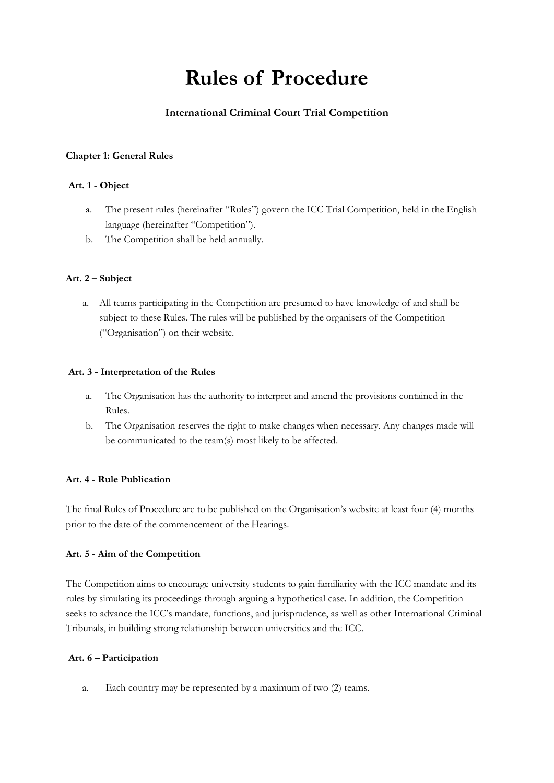# **Rules of Procedure**

## **International Criminal Court Trial Competition**

## **Chapter 1: General Rules**

## **Art. 1 - Object**

- a. The present rules (hereinafter "Rules") govern the ICC Trial Competition, held in the English language (hereinafter "Competition").
- b. The Competition shall be held annually.

## **Art. 2 – Subject**

a. All teams participating in the Competition are presumed to have knowledge of and shall be subject to these Rules. The rules will be published by the organisers of the Competition ("Organisation") on their website.

#### **Art. 3 - Interpretation of the Rules**

- a. The Organisation has the authority to interpret and amend the provisions contained in the Rules.
- b. The Organisation reserves the right to make changes when necessary. Any changes made will be communicated to the team(s) most likely to be affected.

#### **Art. 4 - Rule Publication**

The final Rules of Procedure are to be published on the Organisation's website at least four (4) months prior to the date of the commencement of the Hearings.

## **Art. 5 - Aim of the Competition**

The Competition aims to encourage university students to gain familiarity with the ICC mandate and its rules by simulating its proceedings through arguing a hypothetical case. In addition, the Competition seeks to advance the ICC's mandate, functions, and jurisprudence, as well as other International Criminal Tribunals, in building strong relationship between universities and the ICC.

## **Art. 6 – Participation**

a. Each country may be represented by a maximum of two (2) teams.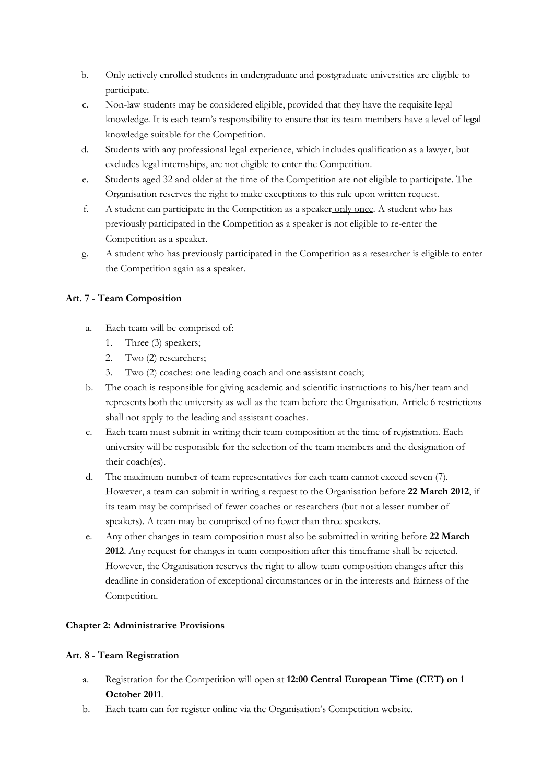- b. Only actively enrolled students in undergraduate and postgraduate universities are eligible to participate.
- c. Non-law students may be considered eligible, provided that they have the requisite legal knowledge. It is each team's responsibility to ensure that its team members have a level of legal knowledge suitable for the Competition.
- d. Students with any professional legal experience, which includes qualification as a lawyer, but excludes legal internships, are not eligible to enter the Competition.
- e. Students aged 32 and older at the time of the Competition are not eligible to participate. The Organisation reserves the right to make exceptions to this rule upon written request.
- f. A student can participate in the Competition as a speaker only once. A student who has previously participated in the Competition as a speaker is not eligible to re-enter the Competition as a speaker.
- g. A student who has previously participated in the Competition as a researcher is eligible to enter the Competition again as a speaker.

## **Art. 7 - Team Composition**

- a. Each team will be comprised of:
	- 1. Three (3) speakers;
	- 2. Two (2) researchers;
	- 3. Two (2) coaches: one leading coach and one assistant coach;
- b. The coach is responsible for giving academic and scientific instructions to his/her team and represents both the university as well as the team before the Organisation. Article 6 restrictions shall not apply to the leading and assistant coaches.
- c. Each team must submit in writing their team composition at the time of registration. Each university will be responsible for the selection of the team members and the designation of their coach(es).
- d. The maximum number of team representatives for each team cannot exceed seven (7). However, a team can submit in writing a request to the Organisation before **22 March 2012**, if its team may be comprised of fewer coaches or researchers (but not a lesser number of speakers). A team may be comprised of no fewer than three speakers.
- e. Any other changes in team composition must also be submitted in writing before **22 March 2012**. Any request for changes in team composition after this timeframe shall be rejected. However, the Organisation reserves the right to allow team composition changes after this deadline in consideration of exceptional circumstances or in the interests and fairness of the Competition.

## **Chapter 2: Administrative Provisions**

## **Art. 8 - Team Registration**

- a. Registration for the Competition will open at **12:00 Central European Time (CET) on 1 October 2011**.
- b. Each team can for register online via the Organisation's Competition website.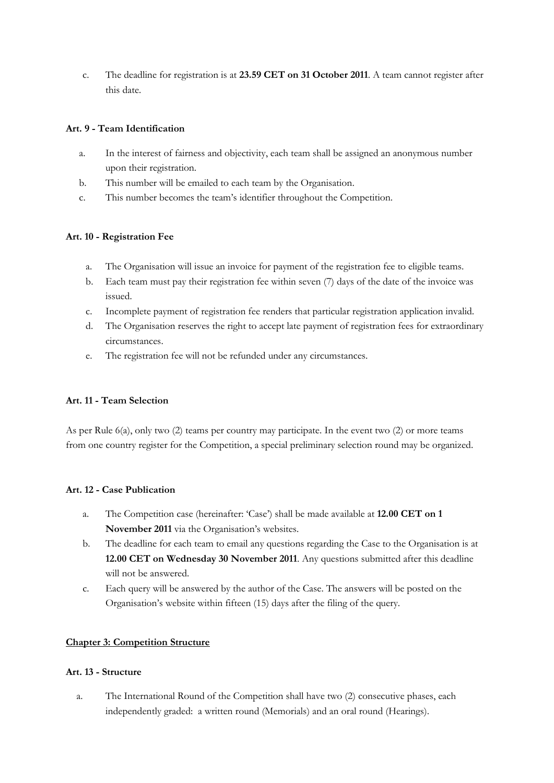c. The deadline for registration is at **23.59 CET on 31 October 2011**. A team cannot register after this date.

## **Art. 9 - Team Identification**

- a. In the interest of fairness and objectivity, each team shall be assigned an anonymous number upon their registration.
- b. This number will be emailed to each team by the Organisation.
- c. This number becomes the team's identifier throughout the Competition.

## **Art. 10 - Registration Fee**

- a. The Organisation will issue an invoice for payment of the registration fee to eligible teams.
- b. Each team must pay their registration fee within seven (7) days of the date of the invoice was issued.
- c. Incomplete payment of registration fee renders that particular registration application invalid.
- d. The Organisation reserves the right to accept late payment of registration fees for extraordinary circumstances.
- e. The registration fee will not be refunded under any circumstances.

#### **Art. 11 - Team Selection**

As per Rule 6(a), only two (2) teams per country may participate. In the event two (2) or more teams from one country register for the Competition, a special preliminary selection round may be organized.

#### **Art. 12 - Case Publication**

- a. The Competition case (hereinafter: 'Case') shall be made available at **12.00 CET on 1 November 2011** via the Organisation's websites.
- b. The deadline for each team to email any questions regarding the Case to the Organisation is at **12.00 CET on Wednesday 30 November 2011**. Any questions submitted after this deadline will not be answered.
- c. Each query will be answered by the author of the Case. The answers will be posted on the Organisation's website within fifteen (15) days after the filing of the query.

#### **Chapter 3: Competition Structure**

#### **Art. 13 - Structure**

a. The International Round of the Competition shall have two (2) consecutive phases, each independently graded: a written round (Memorials) and an oral round (Hearings).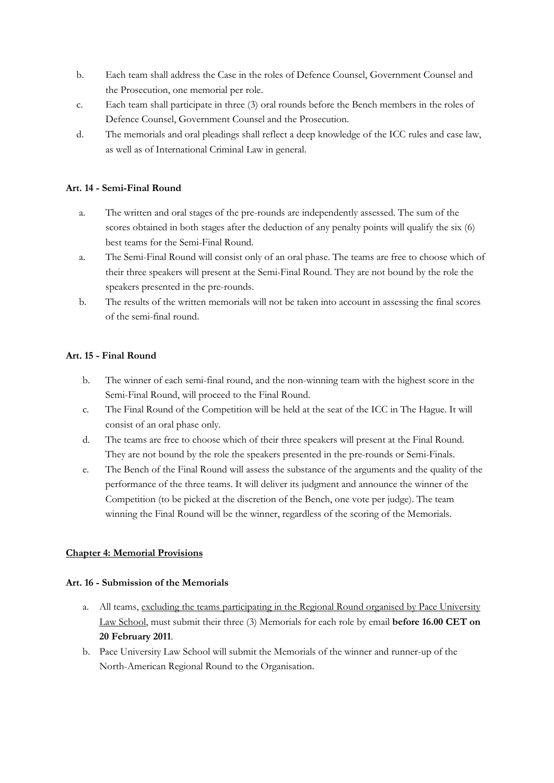- b. Each team shall address the Case in the roles of Defence Counsel, Government Counsel and the Prosecution, one memorial per role.
- c. Each team shall participate in three (3) oral rounds before the Bench members in the roles of Defence Counsel, Government Counsel and the Prosecution.
- d. The memorials and oral pleadings shall reflect a deep knowledge of the ICC rules and case law, as well as of International Criminal Law in general.

#### **Art. 14 - Semi-Final Round**

- a. The written and oral stages of the pre-rounds are independently assessed. The sum of the scores obtained in both stages after the deduction of any penalty points will qualify the six (6) best teams for the Semi-Final Round.
- a. The Semi-Final Round will consist only of an oral phase. The teams are free to choose which of their three speakers will present at the Semi-Final Round. They are not bound by the role the speakers presented in the pre-rounds.
- b. The results of the written memorials will not be taken into account in assessing the final scores of the semi-final round.

## **Art. 15 - Final Round**

- b. The winner of each semi-final round, and the non-winning team with the highest score in the Semi-Final Round, will proceed to the Final Round.
- c. The Final Round of the Competition will be held at the seat of the ICC in The Hague. It will consist of an oral phase only.
- d. The teams are free to choose which of their three speakers will present at the Final Round. They are not bound by the role the speakers presented in the pre-rounds or Semi-Finals.
- e. The Bench of the Final Round will assess the substance of the arguments and the quality of the performance of the three teams. It will deliver its judgment and announce the winner of the Competition (to be picked at the discretion of the Bench, one vote per judge). The team winning the Final Round will be the winner, regardless of the scoring of the Memorials.

## **Chapter 4: Memorial Provisions**

#### **Art. 16 - Submission of the Memorials**

- a. All teams, excluding the teams participating in the Regional Round organised by Pace University Law School, must submit their three (3) Memorials for each role by email **before 16.00 CET on 20 February 2011**.
- b. Pace University Law School will submit the Memorials of the winner and runner-up of the North-American Regional Round to the Organisation.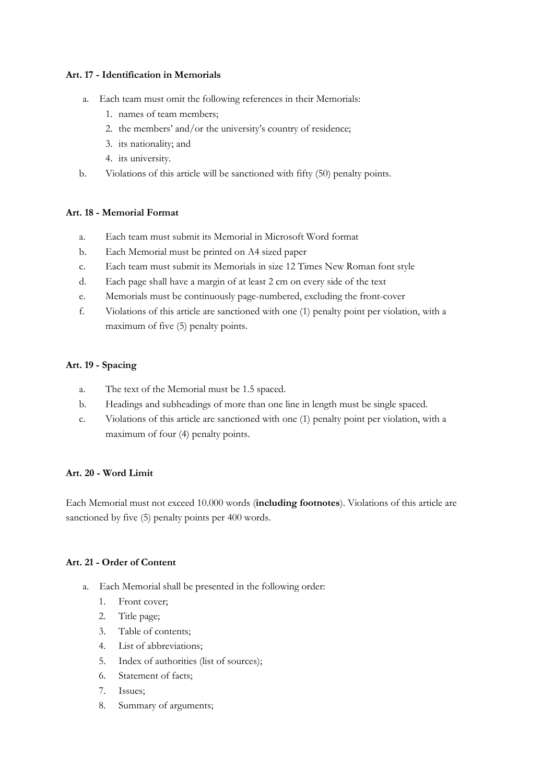## **Art. 17 - Identification in Memorials**

- a. Each team must omit the following references in their Memorials:
	- 1. names of team members;
	- 2. the members' and/or the university's country of residence;
	- 3. its nationality; and
	- 4. its university.
- b. Violations of this article will be sanctioned with fifty (50) penalty points.

## **Art. 18 - Memorial Format**

- a. Each team must submit its Memorial in Microsoft Word format
- b. Each Memorial must be printed on A4 sized paper
- c. Each team must submit its Memorials in size 12 Times New Roman font style
- d. Each page shall have a margin of at least 2 cm on every side of the text
- e. Memorials must be continuously page-numbered, excluding the front-cover
- f. Violations of this article are sanctioned with one (1) penalty point per violation, with a maximum of five (5) penalty points.

## **Art. 19 - Spacing**

- a. The text of the Memorial must be 1.5 spaced.
- b. Headings and subheadings of more than one line in length must be single spaced.
- c. Violations of this article are sanctioned with one (1) penalty point per violation, with a maximum of four (4) penalty points.

#### **Art. 20 - Word Limit**

Each Memorial must not exceed 10.000 words (**including footnotes**). Violations of this article are sanctioned by five (5) penalty points per 400 words.

## **Art. 21 - Order of Content**

- a. Each Memorial shall be presented in the following order:
	- 1. Front cover;
	- 2. Title page;
	- 3. Table of contents;
	- 4. List of abbreviations;
	- 5. Index of authorities (list of sources);
	- 6. Statement of facts;
	- 7. Issues;
	- 8. Summary of arguments;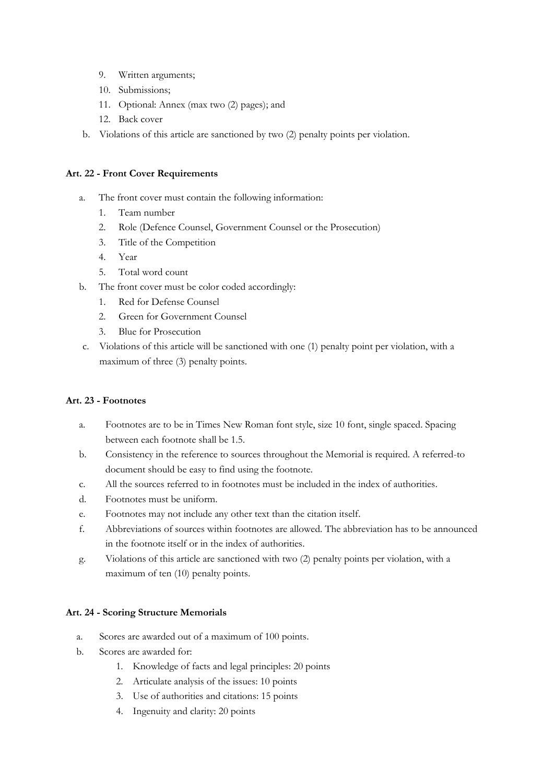- 9. Written arguments;
- 10. Submissions;
- 11. Optional: Annex (max two (2) pages); and
- 12. Back cover
- b. Violations of this article are sanctioned by two (2) penalty points per violation.

#### **Art. 22 - Front Cover Requirements**

- a. The front cover must contain the following information:
	- 1. Team number
	- 2. Role (Defence Counsel, Government Counsel or the Prosecution)
	- 3. Title of the Competition
	- 4. Year
	- 5. Total word count
- b. The front cover must be color coded accordingly:
	- 1. Red for Defense Counsel
	- 2. Green for Government Counsel
	- 3. Blue for Prosecution
- c. Violations of this article will be sanctioned with one (1) penalty point per violation, with a maximum of three (3) penalty points.

#### **Art. 23 - Footnotes**

- a. Footnotes are to be in Times New Roman font style, size 10 font, single spaced. Spacing between each footnote shall be 1.5.
- b. Consistency in the reference to sources throughout the Memorial is required. A referred-to document should be easy to find using the footnote.
- c. All the sources referred to in footnotes must be included in the index of authorities.
- d. Footnotes must be uniform.
- e. Footnotes may not include any other text than the citation itself.
- f. Abbreviations of sources within footnotes are allowed. The abbreviation has to be announced in the footnote itself or in the index of authorities.
- g. Violations of this article are sanctioned with two (2) penalty points per violation, with a maximum of ten (10) penalty points.

#### **Art. 24 - Scoring Structure Memorials**

- a. Scores are awarded out of a maximum of 100 points.
- b. Scores are awarded for:
	- 1. Knowledge of facts and legal principles: 20 points
	- 2. Articulate analysis of the issues: 10 points
	- 3. Use of authorities and citations: 15 points
	- 4. Ingenuity and clarity: 20 points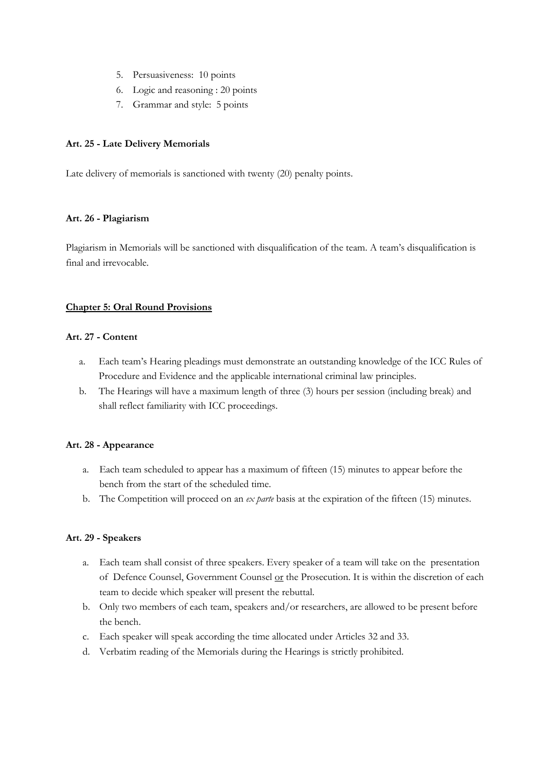- 5. Persuasiveness: 10 points
- 6. Logic and reasoning : 20 points
- 7. Grammar and style: 5 points

#### **Art. 25 - Late Delivery Memorials**

Late delivery of memorials is sanctioned with twenty (20) penalty points.

## **Art. 26 - Plagiarism**

Plagiarism in Memorials will be sanctioned with disqualification of the team. A team's disqualification is final and irrevocable.

## **Chapter 5: Oral Round Provisions**

## **Art. 27 - Content**

- a. Each team's Hearing pleadings must demonstrate an outstanding knowledge of the ICC Rules of Procedure and Evidence and the applicable international criminal law principles.
- b. The Hearings will have a maximum length of three (3) hours per session (including break) and shall reflect familiarity with ICC proceedings.

#### **Art. 28 - Appearance**

- a. Each team scheduled to appear has a maximum of fifteen (15) minutes to appear before the bench from the start of the scheduled time.
- b. The Competition will proceed on an *ex parte* basis at the expiration of the fifteen (15) minutes.

#### **Art. 29 - Speakers**

- a. Each team shall consist of three speakers. Every speaker of a team will take on the presentation of Defence Counsel, Government Counsel or the Prosecution. It is within the discretion of each team to decide which speaker will present the rebuttal.
- b. Only two members of each team, speakers and/or researchers, are allowed to be present before the bench.
- c. Each speaker will speak according the time allocated under Articles 32 and 33.
- d. Verbatim reading of the Memorials during the Hearings is strictly prohibited.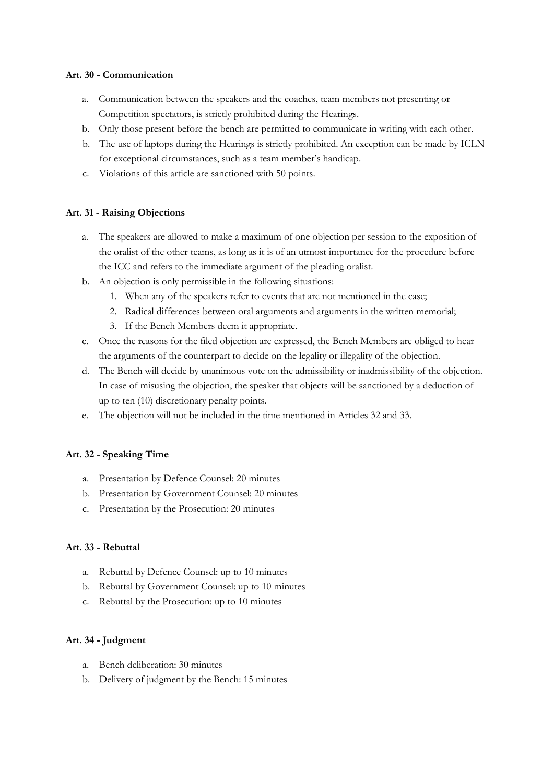## **Art. 30 - Communication**

- a. Communication between the speakers and the coaches, team members not presenting or Competition spectators, is strictly prohibited during the Hearings.
- b. Only those present before the bench are permitted to communicate in writing with each other.
- b. The use of laptops during the Hearings is strictly prohibited. An exception can be made by ICLN for exceptional circumstances, such as a team member's handicap.
- c. Violations of this article are sanctioned with 50 points.

## **Art. 31 - Raising Objections**

- a. The speakers are allowed to make a maximum of one objection per session to the exposition of the oralist of the other teams, as long as it is of an utmost importance for the procedure before the ICC and refers to the immediate argument of the pleading oralist.
- b. An objection is only permissible in the following situations:
	- 1. When any of the speakers refer to events that are not mentioned in the case;
	- 2. Radical differences between oral arguments and arguments in the written memorial;
	- 3. If the Bench Members deem it appropriate.
- c. Once the reasons for the filed objection are expressed, the Bench Members are obliged to hear the arguments of the counterpart to decide on the legality or illegality of the objection.
- d. The Bench will decide by unanimous vote on the admissibility or inadmissibility of the objection. In case of misusing the objection, the speaker that objects will be sanctioned by a deduction of up to ten (10) discretionary penalty points.
- e. The objection will not be included in the time mentioned in Articles 32 and 33.

#### **Art. 32 - Speaking Time**

- a. Presentation by Defence Counsel: 20 minutes
- b. Presentation by Government Counsel: 20 minutes
- c. Presentation by the Prosecution: 20 minutes

#### **Art. 33 - Rebuttal**

- a. Rebuttal by Defence Counsel: up to 10 minutes
- b. Rebuttal by Government Counsel: up to 10 minutes
- c. Rebuttal by the Prosecution: up to 10 minutes

#### **Art. 34 - Judgment**

- a. Bench deliberation: 30 minutes
- b. Delivery of judgment by the Bench: 15 minutes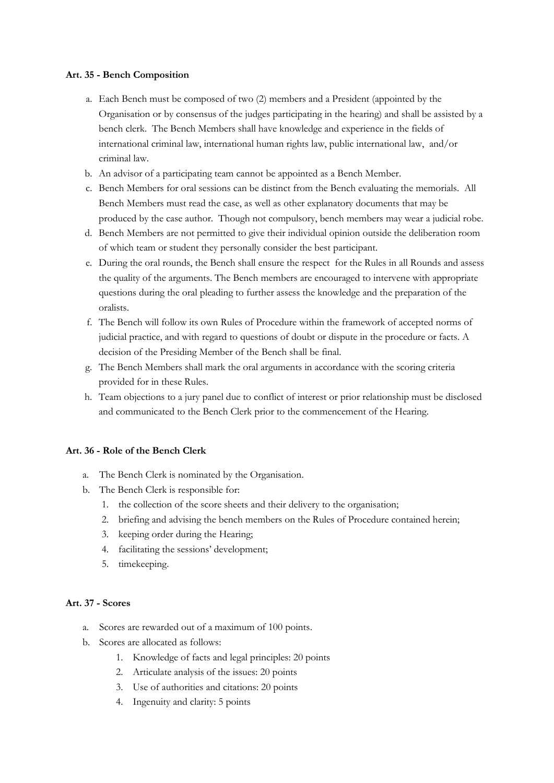## **Art. 35 - Bench Composition**

- a. Each Bench must be composed of two (2) members and a President (appointed by the Organisation or by consensus of the judges participating in the hearing) and shall be assisted by a bench clerk. The Bench Members shall have knowledge and experience in the fields of international criminal law, international human rights law, public international law, and/or criminal law.
- b. An advisor of a participating team cannot be appointed as a Bench Member.
- c. Bench Members for oral sessions can be distinct from the Bench evaluating the memorials. All Bench Members must read the case, as well as other explanatory documents that may be produced by the case author. Though not compulsory, bench members may wear a judicial robe.
- d. Bench Members are not permitted to give their individual opinion outside the deliberation room of which team or student they personally consider the best participant.
- e. During the oral rounds, the Bench shall ensure the respect for the Rules in all Rounds and assess the quality of the arguments. The Bench members are encouraged to intervene with appropriate questions during the oral pleading to further assess the knowledge and the preparation of the oralists.
- f. The Bench will follow its own Rules of Procedure within the framework of accepted norms of judicial practice, and with regard to questions of doubt or dispute in the procedure or facts. A decision of the Presiding Member of the Bench shall be final.
- g. The Bench Members shall mark the oral arguments in accordance with the scoring criteria provided for in these Rules.
- h. Team objections to a jury panel due to conflict of interest or prior relationship must be disclosed and communicated to the Bench Clerk prior to the commencement of the Hearing.

#### **Art. 36 - Role of the Bench Clerk**

- a. The Bench Clerk is nominated by the Organisation.
- b. The Bench Clerk is responsible for:
	- 1. the collection of the score sheets and their delivery to the organisation;
	- 2. briefing and advising the bench members on the Rules of Procedure contained herein;
	- 3. keeping order during the Hearing;
	- 4. facilitating the sessions' development;
	- 5. timekeeping.

#### **Art. 37 - Scores**

- a. Scores are rewarded out of a maximum of 100 points.
- b. Scores are allocated as follows:
	- 1. Knowledge of facts and legal principles: 20 points
	- 2. Articulate analysis of the issues: 20 points
	- 3. Use of authorities and citations: 20 points
	- 4. Ingenuity and clarity: 5 points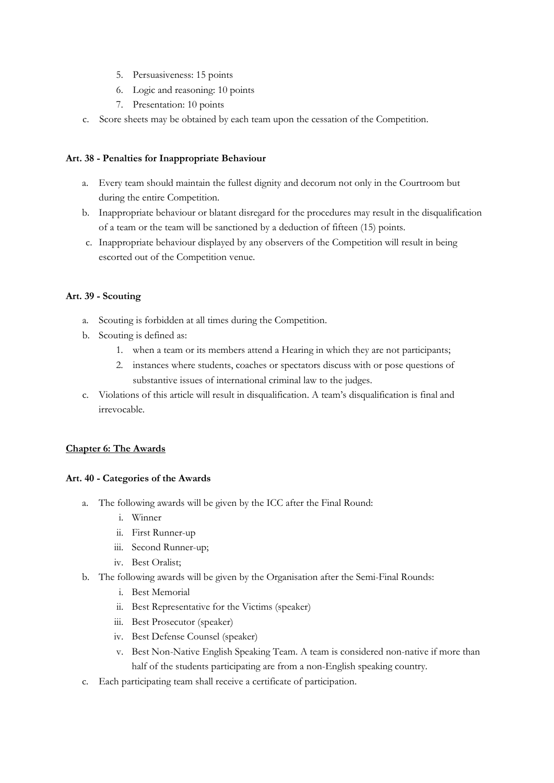- 5. Persuasiveness: 15 points
- 6. Logic and reasoning: 10 points
- 7. Presentation: 10 points
- c. Score sheets may be obtained by each team upon the cessation of the Competition.

## **Art. 38 - Penalties for Inappropriate Behaviour**

- a. Every team should maintain the fullest dignity and decorum not only in the Courtroom but during the entire Competition.
- b. Inappropriate behaviour or blatant disregard for the procedures may result in the disqualification of a team or the team will be sanctioned by a deduction of fifteen (15) points.
- c. Inappropriate behaviour displayed by any observers of the Competition will result in being escorted out of the Competition venue.

## **Art. 39 - Scouting**

- a. Scouting is forbidden at all times during the Competition.
- b. Scouting is defined as:
	- 1. when a team or its members attend a Hearing in which they are not participants;
	- 2. instances where students, coaches or spectators discuss with or pose questions of substantive issues of international criminal law to the judges.
- c. Violations of this article will result in disqualification. A team's disqualification is final and irrevocable.

#### **Chapter 6: The Awards**

#### **Art. 40 - Categories of the Awards**

- a. The following awards will be given by the ICC after the Final Round:
	- i. Winner
	- ii. First Runner-up
	- iii. Second Runner-up;
	- iv. Best Oralist;
- b. The following awards will be given by the Organisation after the Semi-Final Rounds:
	- i. Best Memorial
	- ii. Best Representative for the Victims (speaker)
	- iii. Best Prosecutor (speaker)
	- iv. Best Defense Counsel (speaker)
	- v. Best Non-Native English Speaking Team. A team is considered non-native if more than half of the students participating are from a non-English speaking country.
- c. Each participating team shall receive a certificate of participation.